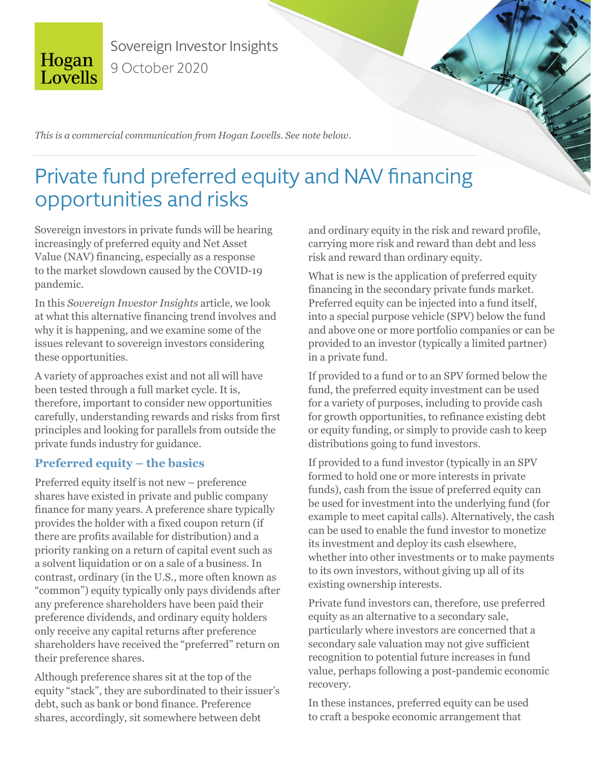

Sovereign Investor Insights 9 October 2020

*This is a commercial communication from Hogan Lovells. See note below.*

# Private fund preferred equity and NAV financing opportunities and risks

Sovereign investors in private funds will be hearing increasingly of preferred equity and Net Asset Value (NAV) financing, especially as a response to the market slowdown caused by the COVID-19 pandemic.

In this *Sovereign Investor Insights* article, we look at what this alternative financing trend involves and why it is happening, and we examine some of the issues relevant to sovereign investors considering these opportunities.

A variety of approaches exist and not all will have been tested through a full market cycle. It is, therefore, important to consider new opportunities carefully, understanding rewards and risks from first principles and looking for parallels from outside the private funds industry for guidance.

# **Preferred equity – the basics**

Preferred equity itself is not new – preference shares have existed in private and public company finance for many years. A preference share typically provides the holder with a fixed coupon return (if there are profits available for distribution) and a priority ranking on a return of capital event such as a solvent liquidation or on a sale of a business. In contrast, ordinary (in the U.S., more often known as "common") equity typically only pays dividends after any preference shareholders have been paid their preference dividends, and ordinary equity holders only receive any capital returns after preference shareholders have received the "preferred" return on their preference shares.

Although preference shares sit at the top of the equity "stack", they are subordinated to their issuer's debt, such as bank or bond finance. Preference shares, accordingly, sit somewhere between debt

and ordinary equity in the risk and reward profile, carrying more risk and reward than debt and less risk and reward than ordinary equity.

What is new is the application of preferred equity financing in the secondary private funds market. Preferred equity can be injected into a fund itself, into a special purpose vehicle (SPV) below the fund and above one or more portfolio companies or can be provided to an investor (typically a limited partner) in a private fund.

If provided to a fund or to an SPV formed below the fund, the preferred equity investment can be used for a variety of purposes, including to provide cash for growth opportunities, to refinance existing debt or equity funding, or simply to provide cash to keep distributions going to fund investors.

If provided to a fund investor (typically in an SPV formed to hold one or more interests in private funds), cash from the issue of preferred equity can be used for investment into the underlying fund (for example to meet capital calls). Alternatively, the cash can be used to enable the fund investor to monetize its investment and deploy its cash elsewhere, whether into other investments or to make payments to its own investors, without giving up all of its existing ownership interests.

Private fund investors can, therefore, use preferred equity as an alternative to a secondary sale, particularly where investors are concerned that a secondary sale valuation may not give sufficient recognition to potential future increases in fund value, perhaps following a post-pandemic economic recovery.

In these instances, preferred equity can be used to craft a bespoke economic arrangement that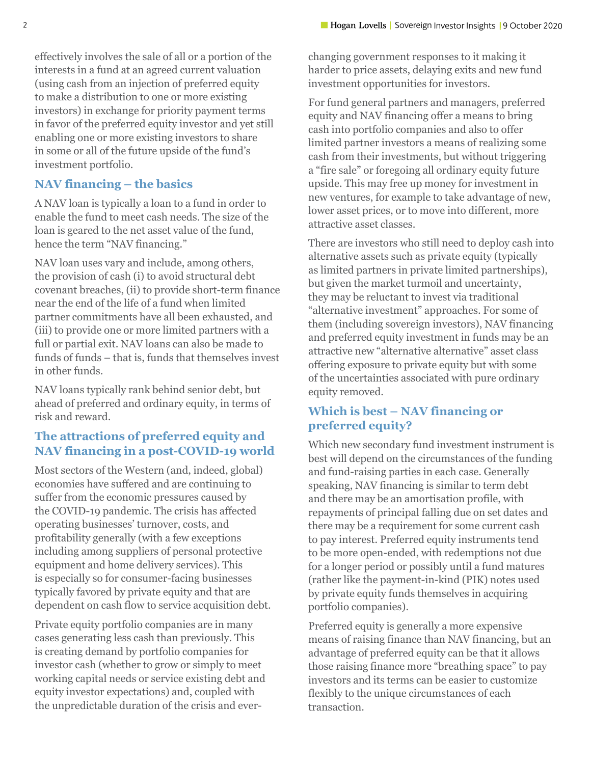effectively involves the sale of all or a portion of the interests in a fund at an agreed current valuation (using cash from an injection of preferred equity to make a distribution to one or more existing investors) in exchange for priority payment terms in favor of the preferred equity investor and yet still enabling one or more existing investors to share in some or all of the future upside of the fund's investment portfolio.

#### **NAV financing – the basics**

A NAV loan is typically a loan to a fund in order to enable the fund to meet cash needs. The size of the loan is geared to the net asset value of the fund, hence the term "NAV financing."

NAV loan uses vary and include, among others, the provision of cash (i) to avoid structural debt covenant breaches, (ii) to provide short-term finance near the end of the life of a fund when limited partner commitments have all been exhausted, and (iii) to provide one or more limited partners with a full or partial exit. NAV loans can also be made to funds of funds – that is, funds that themselves invest in other funds.

NAV loans typically rank behind senior debt, but ahead of preferred and ordinary equity, in terms of risk and reward.

#### **The attractions of preferred equity and NAV financing in a post-COVID-19 world**

Most sectors of the Western (and, indeed, global) economies have suffered and are continuing to suffer from the economic pressures caused by the COVID-19 pandemic. The crisis has affected operating businesses' turnover, costs, and profitability generally (with a few exceptions including among suppliers of personal protective equipment and home delivery services). This is especially so for consumer-facing businesses typically favored by private equity and that are dependent on cash flow to service acquisition debt.

Private equity portfolio companies are in many cases generating less cash than previously. This is creating demand by portfolio companies for investor cash (whether to grow or simply to meet working capital needs or service existing debt and equity investor expectations) and, coupled with the unpredictable duration of the crisis and ever-

changing government responses to it making it harder to price assets, delaying exits and new fund investment opportunities for investors.

For fund general partners and managers, preferred equity and NAV financing offer a means to bring cash into portfolio companies and also to offer limited partner investors a means of realizing some cash from their investments, but without triggering a "fire sale" or foregoing all ordinary equity future upside. This may free up money for investment in new ventures, for example to take advantage of new, lower asset prices, or to move into different, more attractive asset classes.

There are investors who still need to deploy cash into alternative assets such as private equity (typically as limited partners in private limited partnerships), but given the market turmoil and uncertainty, they may be reluctant to invest via traditional "alternative investment" approaches. For some of them (including sovereign investors), NAV financing and preferred equity investment in funds may be an attractive new "alternative alternative" asset class offering exposure to private equity but with some of the uncertainties associated with pure ordinary equity removed.

#### **Which is best – NAV financing or preferred equity?**

Which new secondary fund investment instrument is best will depend on the circumstances of the funding and fund-raising parties in each case. Generally speaking, NAV financing is similar to term debt and there may be an amortisation profile, with repayments of principal falling due on set dates and there may be a requirement for some current cash to pay interest. Preferred equity instruments tend to be more open-ended, with redemptions not due for a longer period or possibly until a fund matures (rather like the payment-in-kind (PIK) notes used by private equity funds themselves in acquiring portfolio companies).

Preferred equity is generally a more expensive means of raising finance than NAV financing, but an advantage of preferred equity can be that it allows those raising finance more "breathing space" to pay investors and its terms can be easier to customize flexibly to the unique circumstances of each transaction.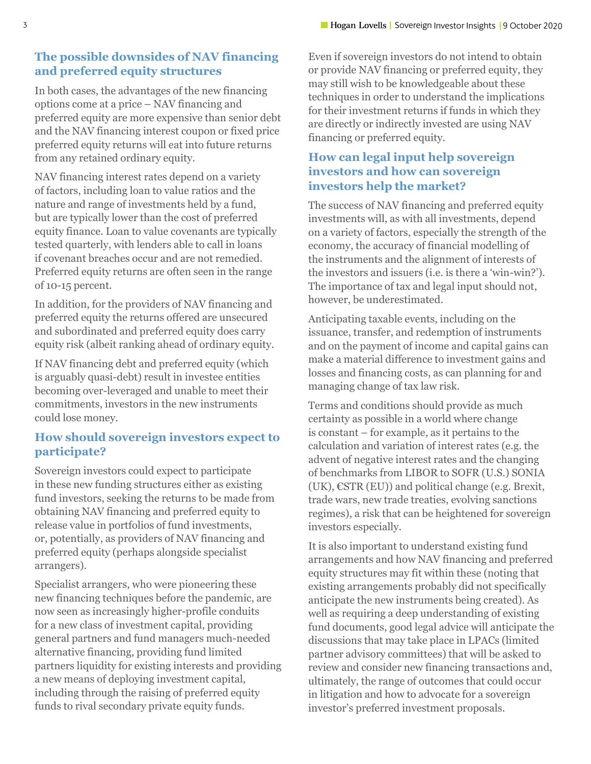#### **The possible downsides of NAV financing and preferred equity structures**

In both cases, the advantages of the new financing options come at a price – NAV financing and preferred equity are more expensive than senior debt and the NAV financing interest coupon or fixed price preferred equity returns will eat into future returns from any retained ordinary equity.

NAV financing interest rates depend on a variety of factors, including loan to value ratios and the nature and range of investments held by a fund, but are typically lower than the cost of preferred equity finance. Loan to value covenants are typically tested quarterly, with lenders able to call in loans if covenant breaches occur and are not remedied. Preferred equity returns are often seen in the range of 10-15 percent.

In addition, for the providers of NAV financing and preferred equity the returns offered are unsecured and subordinated and preferred equity does carry equity risk (albeit ranking ahead of ordinary equity.

If NAV financing debt and preferred equity (which is arguably quasi-debt) result in investee entities becoming over-leveraged and unable to meet their commitments, investors in the new instruments could lose money.

## **How should sovereign investors expect to participate?**

Sovereign investors could expect to participate in these new funding structures either as existing fund investors, seeking the returns to be made from obtaining NAV financing and preferred equity to release value in portfolios of fund investments, or, potentially, as providers of NAV financing and preferred equity (perhaps alongside specialist arrangers).

Specialist arrangers, who were pioneering these new financing techniques before the pandemic, are now seen as increasingly higher-profile conduits for a new class of investment capital, providing general partners and fund managers much-needed alternative financing, providing fund limited partners liquidity for existing interests and providing a new means of deploying investment capital, including through the raising of preferred equity funds to rival secondary private equity funds.

Even if sovereign investors do not intend to obtain or provide NAV financing or preferred equity, they may still wish to be knowledgeable about these techniques in order to understand the implications for their investment returns if funds in which they are directly or indirectly invested are using NAV financing or preferred equity.

## **How can legal input help sovereign investors and how can sovereign investors help the market?**

The success of NAV financing and preferred equity investments will, as with all investments, depend on a variety of factors, especially the strength of the economy, the accuracy of financial modelling of the instruments and the alignment of interests of the investors and issuers (i.e. is there a 'win-win?'). The importance of tax and legal input should not, however, be underestimated.

Anticipating taxable events, including on the issuance, transfer, and redemption of instruments and on the payment of income and capital gains can make a material difference to investment gains and losses and financing costs, as can planning for and managing change of tax law risk.

Terms and conditions should provide as much certainty as possible in a world where change is constant – for example, as it pertains to the calculation and variation of interest rates (e.g. the advent of negative interest rates and the changing of benchmarks from LIBOR to SOFR (U.S.) SONIA  $(UK), \text{ESTR} (EU)$ ) and political change (e.g. Brexit, trade wars, new trade treaties, evolving sanctions regimes), a risk that can be heightened for sovereign investors especially.

It is also important to understand existing fund arrangements and how NAV financing and preferred equity structures may fit within these (noting that existing arrangements probably did not specifically anticipate the new instruments being created). As well as requiring a deep understanding of existing fund documents, good legal advice will anticipate the discussions that may take place in LPACs (limited partner advisory committees) that will be asked to review and consider new financing transactions and, ultimately, the range of outcomes that could occur in litigation and how to advocate for a sovereign investor's preferred investment proposals.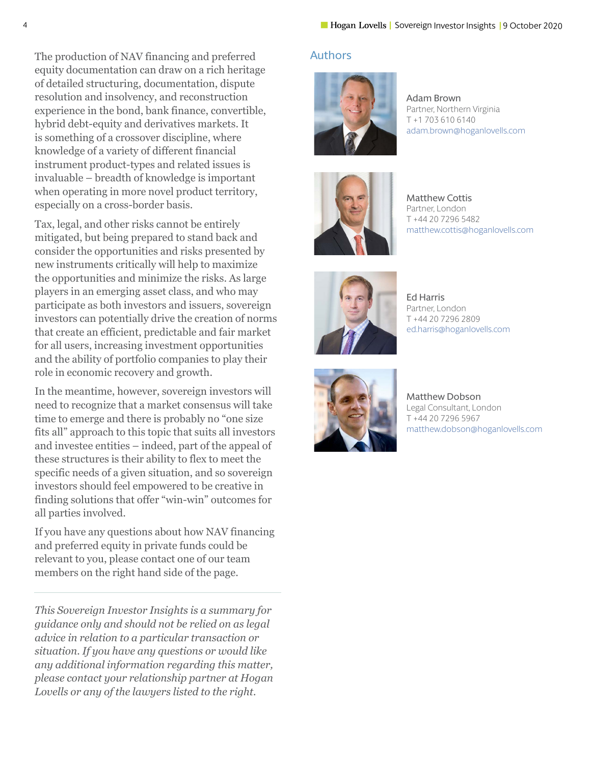The production of NAV financing and preferred equity documentation can draw on a rich heritage of detailed structuring, documentation, dispute resolution and insolvency, and reconstruction experience in the bond, bank finance, convertible, hybrid debt-equity and derivatives markets. It is something of a crossover discipline, where knowledge of a variety of different financial instrument product-types and related issues is invaluable – breadth of knowledge is important when operating in more novel product territory, especially on a cross-border basis.

Tax, legal, and other risks cannot be entirely mitigated, but being prepared to stand back and consider the opportunities and risks presented by new instruments critically will help to maximize the opportunities and minimize the risks. As large players in an emerging asset class, and who may participate as both investors and issuers, sovereign investors can potentially drive the creation of norms that create an efficient, predictable and fair market for all users, increasing investment opportunities and the ability of portfolio companies to play their role in economic recovery and growth.

In the meantime, however, sovereign investors will need to recognize that a market consensus will take time to emerge and there is probably no "one size fits all" approach to this topic that suits all investors and investee entities – indeed, part of the appeal of these structures is their ability to flex to meet the specific needs of a given situation, and so sovereign investors should feel empowered to be creative in finding solutions that offer "win-win" outcomes for all parties involved.

If you have any questions about how NAV financing and preferred equity in private funds could be relevant to you, please contact one of our team members on the right hand side of the page.

*This Sovereign Investor Insights is a summary for guidance only and should not be relied on as legal advice in relation to a particular transaction or situation. If you have any questions or would like any additional information regarding this matter, please contact your relationship partner at Hogan Lovells or any of the lawyers listed to the right.*

#### Authors



Adam Brown Partner, Northern Virginia T +1 703 610 6140 [adam.brown@hoganlovells.com](mailto:adam.brown%40hoganlovells.com?subject=)



Matthew Cottis Partner, London T +44 20 7296 5482 [matthew.cottis@hoganlovells.com](mailto:matthew.cottis%40hoganlovells.com?subject=)



Ed Harris Partner, London T +44 20 7296 2809 [ed.harris@hoganlovells.com](mailto:ed.harris%40hoganlovells.com?subject=)



Matthew Dobson Legal Consultant, London T +44 20 7296 5967 [matthew.dobson@hoganlovells.com](mailto:matthew.dobson%40hoganlovells.com?subject=)